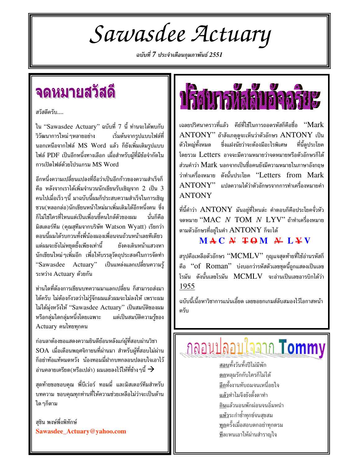Sawasdee Actuary

ฉบับที่ 7 ประจำเดือนกุมภาพันธ์ 2551

### จดหมายสวัสดี

สวัสดีครับ....

ใน "Sawasdee Actuary" ฉบับที่ 7 นี้ ท่านจะได้พบกับ วิวัฒนาการใหม่ ๆหลายอย่าง ้เริ่มต้นจากรูปแบบไฟล์ที่ นอกเหนือจากไฟล์ MS Word แล้ว ก็ยังเพิ่มเติมรูปแบบ ไฟล์ PDF เป็นอีกหนึ่งทางเลือก เผื่อสำหรับผู้ที่มีข้อจำกัดใน การเปิดไฟล์ด้วยโปรแกรม MS Word

อีกหนึ่งความเปลี่ยนแปลงที่ถือว่าเป็นอีกก้าวของความสำเร็จก็ คือ หลังจากเราได้เพิ่มจำนวนนักเขียนรับเชิญจาก 2 เป็น 3 คนไปเมื่อเร็ว ๆนี้ มาฉบับนี้ผมก็ประสบความสำเร็จในการเชิญ ชวน(หลอกล่อ)นักเขียนหน้าใหม่มาเพิ่มเติมได้อีกหนึ่งคน ซึ่ง ก็ไม่ใช่ใครที่ไหนแต่เป็นเพื่อนซี้คนใกล้ตัวของผม นั่นก็คือ มิสเตอร์ทีม (คุณสุทีมจากบริษัท Watson Wyatt) เรียกว่า ตอนนี้ผมได้รบกวนทั้งพี่น้องผองเพื่อนจนถ้วนหน้าเลยทีเดียว แต่ผมจะยังไม่หยดยั้งเพียงเท่านี้ ยังคงเดินหน้าแสวงหา นักเขียนใหม่ ๆเพิ่มอีก เพื่อให้บรรลุวัตถุประสงค์ในการจัดทำ "Sawasdee Actuary" ้เป็นแหล่งแลกเปลี่ยนความ<u>รู้</u> ระหว่าง Actuary ด้วยกัน

้ท่านใดที่ต้องการเขียนบทความมาแลกเปลี่ยน ก็สามารถส่งมา ได้ครับ ไม่ต้องกังวลว่าไม่รู้จักผมแล้วผมจะไม่ลงให้ เพราะผม ไม่ได้มุ่งหวังให้ "Sawasdee Actuary" เป็นสมบัติของผม หรือกลุ่มใดกลุ่มหนึ่งโดยเฉพาะ แต่เป็นสมบัติความรู้ของ Actuary คนไทยทุกคน

ก่อนลาต้องขอแสดงความยินดีย้อนหลังแก่ผู้ที่สอบผ่านวิชา SOA เมื่อเดือนพฤศจิกายนที่ผ่านมา สำหรับผู้ที่สอบไม่ผ่าน ก็อย่าท้อแท้หมดหวัง น้องทอมมี่ฝากบทกลอนปลอบใจเอาไว้ อ่านคลายเครียด(หรือเปล่า) ผมเลยลงไว้ให้ที่ข้าง ๆนี้  $\rightarrow$ 

สุดท้ายขอขอบคุณ พี่บีเว่อร์ ทอมมี่ และมิสเตอร์ทีมสำหรับ ิบทความ ขอบคุณทุกท่านที่ให้ความช่วยเหลือไม่ว่าจะเป็นด้าน ใด ๆก็ตาม

สชิน พงษ์พึ่งพิทักษ์ Sawasdee\_Actuary@yahoo.com



เฉลยปริศนาคราวที่แล้ว คีย์ที่ใช้ในการถอดรหัสก็คือชื่อ "Mark  $\operatorname{ANTONY}$ " ถ้าสังเกตดจะเห็นว่าตัวอักษร  $\operatorname{ANTONY}$  เป็น ที่นี้ดูประโยค ตัวใหญ่ทั้งหมด ชึ่งแฝงนัยว่าจะต้องมีอะไรพิเศษ โดยรวม Letters อาจจะมีความหมายว่าจดหมายหรือตัวอักษรก็ได้ ส่วนคำว่า Mark นอกจากเป็นชื่อคนยังมีความหมายในภาษาอังกฤษ ว่าทำเครื่องหมาย ดังนั้นประโยค "Letters from Mark  $\overline{\mathrm{ANTONY}}$ " แปลความได้ว่าตัวอักษรจากการทำเครื่องหมายคำ **ANTONY** 

ที่นี้คำว่า  $\mathop{\rm ANTONY}\nolimits$  มันอยู่ที่ไหนล่ะ คำตอบก็คือประโยคจั่วหัว จดหมาย " $MAC$   $N$   $TOM$   $N$   $LYV$ " ถ้าทำเครื่องหมาย ตามตัวอักษรที่อย่ในคำ  $\mathop{\rm ANTONY}\nolimits$  ก็จะได้

 $MAC$  #  $FOM$  #  $L*V$ 

สรุปคือเหลือตัวอักษร " $\text{MCMLV}$ " กุญแจสุดท้ายที่ใช้อ่านรหัสก็ คือ "of Roman" บ่งบอกว่ารหัสตัวเลขชดนี้ถกแสดงเป็นเลข โรมัน ดังนั้นเลขโรมัน MCMLV จะอ่านเป็นเลขอารบิกได้ว่า 1955

ฉบับนี้เนื้อหาวิชาการแน่นเอี๊ยด เลยขอยกเกมส์ลับสมองไว้โอกาสหน้า ครับ

## กลอนปลอบใจจาก Tommy

สอบทั้งวันทั้งปีไม่มีพัก <u>ตก</u>หลุมรักกับใครก็ไม่ได้ อีกทั้งงานทับถมจนเหนื่อยใจ แล้วทำไมจึงยังตั้งตาทำ กินแล้วนอนพักผ่อนจนอิ่มหนำ <u>แห้ว</u>ระกำช้ำทุกข์จนสุขสม <u>ทุก</u>ครั้งเมื่อสอบตกอย่าทุกตรม ทีละหนเอาให้ผ่านสำราญใจ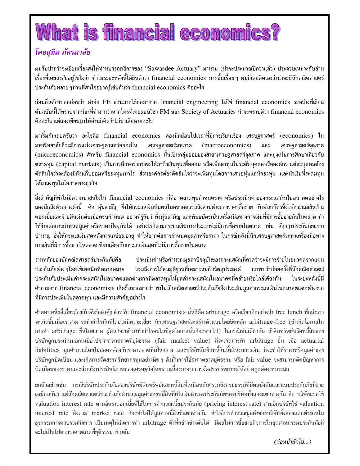## What is financial economics?

#### โดยสทีม ภัทรมาลัย

ผมรับปากว่าจะเขียนเรื่องส่งให้ท่านบรรณาธิการของ "Sawasdee Actuary" มานาน (น่าจะประมาณปีกว่าแล้ว) ประจวบเหมาะกับอ่าน เรื่องที่เคยสงสัยอยู่ในใจว่า ทำไมระยะหลังนี้ได้ยินคำว่า financial economics มากขึ้นเรื่อยๆ ผมก็เลยคิดเองว่าน่าจะมีนักคณิตศาสตร์ ประกันภัยหลาย ๆท่านที่สนใจอยากรู้เช่นกันว่า financial economics คืออะไร

ก่อนอื่นต้องบอกก่อนว่า คำย่อ FE ส่วนมากใช้ย่อมาจาก financial engineering ไม่ใช่ financial economics ระหว่างที่เขียน ต้นฉบับนี้ได้ทราบจากน้องที่ทำงานว่าหากใครที่เคยสอบวิชา FM ของ Society of Actuaries น่าจะทราบดีว่า financial economics คืออะไร แต่ลองเขียนมาให้อ่านก็คิดว่าไม่น่าเสียหายอะไร

มาเริ่มกันเลยครับว่า อะไรคือ financial economics ลองนึกย้อนไปเวลาที่มีการเรียนเรื่อง เศรษฐศาสตร์ (economics) ใน มหาวิทยาลัยก็จะมีการแบ่งเศรษฐศาสตร์ออกเป็น เศรษฐศาสตร์มหภาค (macroeconomics) และ เศรษฐศาสตร์จุลภาค (microeconomics) สำหรับ financial economics นั้นเป็นกลุ่มย่อยของสาขาเศรษฐศาสตร์จุลภาค และมุ่งเน้นการศึกษาเกี่ยวกับ ตลาดทุน (capital markets) เป็นการศึกษาว่าการจะได้มาซึ่งเงินทุนเพื่อออม หรือเพื่อลงทุนในระดับบุคคลหรือองค์กร แต่ละบุคคลต้อง ตัดสินใจว่าจะต้องมีเงินเก็บออมหรือลงทุนเท่าไร ส่วนองค์กรต้องตัดสินใจว่าจะเพิ่มทุนโดยการเสนอหุ้นแก่นักลงทุน และนำเงินที่ระดมทุน ได้มาลงทุนในโอกาสทางธุรกิจ

สิ่งสำคัญที่ทำให้มีความน่าสนใจใน financial economics ก็คือ ตลาดทุนกำหนดราคาหรือประเมินค่าของกระแสเงินในอนาคตอย่างไร ิลองนึกถึงตัวอย่างดังนี้ คือ หุ้นสามัญ ซึ่งให้กระแสเงินปันผลในอนาคตรวมถึงส่วนต่างของราคาซื้อขาย กับพันธบัตรซึ่งให้กระแสเงินเป็น ดอกเบี้ยและจ่ายคืนเงินต้นเมื่อครบกำหนด อย่างที่รู้กันว่าทั้งหุ้นสามัญ และพันธบัตรเป็นเครื่องมือทางการเงินที่มีการซื้อขายกันในตลาด ทำ ให้ง่ายต่อการกำหนดมูลค่าหรือราคาปัจจุบันได้ อย่างไรก็ตามกระแสเงินบางประเภทไม่มีการซื้อขายในตลาด เช่น สัญญาประกันภัยแบบ ้บำนาญ ซึ่งให้กระแสเงินสดหลังการเกษียณอายุ ทำให้ยากต่อการกำหนดมูลค่าหรือราคา ในกรณีหลังนี้นักเศรษฐศาสตร์จะหาเครื่องมือทาง การเงินที่มีการซื้อขายในตลาดเทียบเคียงกับกระแสเงินสดที่ไม่มีการซื้อขายในตลาด

งานหลักของนักคณิตศาสตร์ประกันภัยคือ ี ประเมินค่าหรือคำนวณมูลค่าปัจจุบันของกระแสเงินที่คาดว่าจะมีการจ่ายในอนาคตจากแผน ประกันภัยต่าง ๆโดยใช้เทคนิคที่หลากหลาย รวมถึงการใช้สมมุติฐานที่เหมาะสมกับวัตถุประสงค์ เราพบว่าบ่อยครั้งที่นักคณิตศาสตร์ ประกันภัยประเมินค่ากระแสเงินในอนาคตแตกต่างจากที่ตลาดทุนให้มูลค่ากระแสเงินในอนาคตที่คล้ายหรือใกล้เคียงกัน ในระยะหลังนี้มี คำถามจาก financial economists เกิดขึ้นมากมายว่า ทำไมนักคณิตศาสตร์ประกันภัยจึงประเมินมูลค่ากระแสเงินในอนาคตแตกต่างจาก ที่มีการประเมินในตลาดทุน และมีความสำคัญอย่างไร

คำตอบหนึ่งที่เกี่ยวข้องกับหัวข้อสำคัญสำหรับ financial economists นั่นก็คือ arbitrage หรือเรียกอีกอย่างว่า free lunch ที่กล่าวว่า จะเกิดขึ้นเมื่อเราสามารถทำกำไรทันทีโดยไม่มีความเสี่ยง นักเศรษฐศาสตร์จะสร้างตัวแบบโดยยึดหลัก arbitrage-free (ถ้าเกิดโอกาสใน การทำ arbitrage ขึ้นในตลาด ผู้คนก็จะเข้ามาทำกำไรจนในที่สุดโอกาสนั้นก็จะหายไป) ในกรณีเช่นเดียวกัน ถ้าสินทรัพย์หรือหนี้สินของ บริษัทถูกประเมินนอกเหนือไปจากราคาตลาดที่ยุติธรรม (fair market value) ก็จะเกิดการทำ arbitrage ขึ้น เมื่อ actuarial liabilities ถูกคำนวณโดยไม่สอดคล้องกับราคาตลาดที่เป็นกลาง และบริษัทบันทึกหนี้สินนั้นในงบการเงิน ก็จะทำให้ราคาหรือมูลค่าของ บริษัทถูกบิดเบือน และเกิดการจัดสรรทรัพยากรทุนอย่างผิด ๆ ดังนั้นการใช้ราคาตลาดยุติธรรม หรือ fair value จะสามารถตัดปัญหาการ บิดเบื่อนของราคาและส่งเสริมประสิทธิภาพของเศรษฐกิจโดยรวมเนื่องมาจากการจัดสรรทรัพยากรได้อย่างถูกต้องเหมาะสม

ยกตัวอย่างเช่น กรณีบริษัทประกันภัยสองบริษัทมีสินทรัพย์และหนี้สินที่เหมือนกัน(รวมถึงกรมธรรม์ที่มีผลบังคับและแบบประกันภัยที่ขาย เหมือนกัน) แต่นักคณิตศาสตร์ประกันภัยคำนวณมูลค่าของหนี้สินที่เป็นเงินสำรองประกันภัยของบริษัททั้งสองแตกต่างกัน คือ บริษัทแรกใช้ valuation interest rate ตามอัตราดอกเบี้ยที่ใช้ในการคำนวณเบี้ยประกันภัย (pricing interest rate) ส่วนอีกบริษัทใช้ valuation interest rate อิงตาม market rate ก็จะทำให้ได้มูลค่าหนี้สินที่แตกต่างกัน ทำให้การคำนวณมูลค่าของบริษัททั้งสองแตกต่างกันใน ธุรกรรมการควบรวมกิจการ เป็นเหตุให้เกิดการทำ arbitrage ดังที่กล่าวข้างต้นได้ มีผลให้การซื้อขายกิจการในอุตสาหกรรมประกันภัยก็ ้จะไม่เป็นไปตามราคาตลาดที่ยุติธรรม เป็นต้น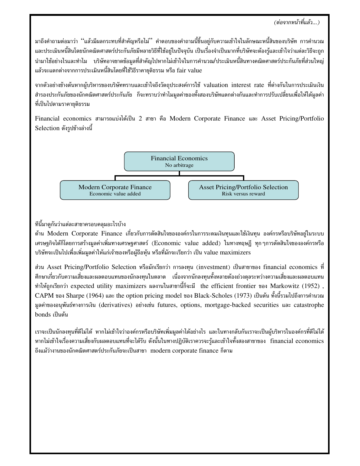้มาถึงคำถามต่อมาว่า ''แล้วมีผลกระทบที่สำคัญหรือไม่'' คำตอบของคำถามนี้ขึ้นอยู่กับความเข้าใจในลักษณะหนี้สินของบริษัท การคำนวณ และประเมินหนี้สินโดยนักคณิตศาสตร์ประกันภัยมีหลายวิธีที่ใช้อยู่ในปัจจุบัน เป็นเรื่องจำเป็นมากที่บริษัทจะต้องรู้และเข้าใจว่าแต่ละวิธีจะถูก นำมาใช้อย่างไรและทำไม บริษัทอาจขาดข้อมูลที่สำคัญไปหากไม่เข้าใจในการคำนวณ/ประเมินหนี้สินทางคณิตศาสตร์ประกันภัยที่ส่วนใหญ่ แล้วจะแตกต่างจากการประเมินหนี้สินโดยที่ใช้วิธีราคายุติธรรม หรือ fair value

จากตัวอย่างข้างต้นหากผู้บริหารของบริษัททราบและเข้าใจถึงวัตถุประสงค์การใช้ valuation interest rate ที่ต่างกันในการประเมินเงิน ้สำรองประกันภัยของนักคณิตศาสตร์ประกันภัย ก็จะทราบว่าทำไมมูลค่าของทั้งสองบริษัทแตกต่างกันและทำการปรับเปลี่ยนเพื่อให้ได้มูลค่า ที่เป็นไปตามราคายุติธรรม

Financial economics สามารถแบ่งได้เป็น 2 สาขา คือ Modern Corporate Finance และ Asset Pricing/Portfolio Selection ดังรูปข้างล่างนี้



ทีนี้มาดูกันว่าแต่ละสาขาครอบคลุมอะไรบ้าง

ด้าน Modern Corporate Finance เกี่ยวกับการตัดสินใจขององค์กรในการระดมเงินทุนและใช้เงินทุน องค์กรหรือบริษัทอยู่ในระบบ เศรษฐกิจได้ก็โดยการสร้างมูลค่าเพิ่มทางเศรษฐศาสตร์ (Economic value added) ในทางทฤษฎี ทุกๆการตัดสินใจขององค์กรหรือ บริษัทจะเป็นไปเพื่อเพิ่มมูลค่าให้แก่เจ้าของหรือผู้ถือหุ้น หรือที่มักจะเรียกว่า เป็น value maximizers

ส่วน Asset Pricing/Portfolio Selection หรือมักเรียกว่า การลงทุน (investment) เป็นสาขาของ financial economics ที่ ้ศึกษาเกี่ยวกับความเสี่ยงและผลตอบแทนของนักลงทุนในตลาด เนื่องจากนักลงทุนทั้งหลายต้องถ่วงดุลระหว่างความเสี่ยงและผลตอบแทน ทำให้ถูกเรียกว่า expected utility maximizers ผลงานในสาขานี้ก็จะมี the efficient frontier ของ Markowitz (1952), CAPM ของ Sharpe (1964) และ the option pricing model ของ Black-Scholes (1973) เป็นต้น ทั้งนี้รวมไปถึงการคำนวณ มูลค่าของอนุพันธ์ทางการเงิน (derivatives) อย่างเช่น futures, options, mortgage-backed securities และ catastrophe bonds เป็นต้น

้เราจะเป็นนักลงทุนที่ดีไม่ได้ หากไม่เข้าใจว่าองค์กรหรือบริษัทเพิ่มมูลค่าได้อย่างไร และในทางกลับกันเราจะเป็นผู้บริหารในองค์กรที่ดีไม่ได้ หากไม่เข้าใจเรื่องความเสี่ยงกับผลตอบแทนที่จะได้รับ ดังนั้นในทางปฏิบัติเราควรจะรู้และเข้าใจทั้งสองสาขาของ financial economics ถึงแม้ว่างานของนักคณิตศาสตร์ประกันภัยจะเป็นสาขา modern corporate finance ก็ตาม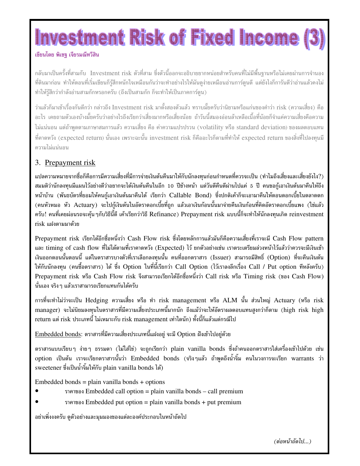# Investment Risk of Fixed Income

#### เขียนโดย พิเชฐ เจียรมณีทวีสิน

ึกลับมาเป็นครั้งที่สามกับ Investment risk ตัวที่สาม ซึ่งตัวนี้ออกจะอธิบายยากหน่อยสำหรับคนที่ไม่มีพื้นฐานหรือไม่เคยผ่านการจำนอง ที่ดินมาก่อน ทำให้ตอนที่เริ่มเขียนก็รัสึกหนักใจเหมือนกันว่าจะทำอย่างไรให้มันดง่ายเหมือนอ่านการ์ตนดี แต่ยังไงก็การันตีว่าอ่านแล้วคงไม่ ทำให้ร้สึกว่ากำลังอ่านสามก๊กหรอกครับ (ถึงเป็นสามก๊ก ก็จะทำให้เป็นภาคการ์ตน)

ว่าแล้วก็มาเข้าเรื่องกันดีกว่า กล่าวถึง Investment risk มาตั้งสองตัวแล้ว ทราบมั้ยครับว่านิยามหรือแก่นของคำว่า risk (ความเสี่ยง) คือ ้อะไร เคยถามตัวเองบ้างมั้ยครับว่าอย่างไรถึงเรียกว่าเสี่ยงมากหรือเสี่ยงน้อย ถ้าวันนี้สมองอ่อนล้าเหลือเนื้อที่น้อยก็จำแค่ความเสี่ยงคือความ ไม่แน่นอน แต่ถ้าพูดตามภาษาสมการแล้ว ความเสี่ยง คือ ค่าความแปรปรวน (volatility หรือ standard deviation) ของผลตอบแทน ที่คาดหวัง (expected return) นั่นเอง เพราะฉะนั้น investment risk ก็คืออะไรก็ตามที่ทำให้ expected return ของสิ่งที่ไปลงทนมี ความไม่แน่นอน

#### 3. Prepayment risk

แปลความหมายจากชื่อก็คือการมีความเสี่ยงที่มีการจ่ายเงินต้นคืนมาให้กับนักลงทนก่อนกำหนดที่ควรจะเป็น (ทำไมถึงเสี่ยงและเสี่ยงยังไง?) สมมติว่านักลงทนมีแผนไว้อย่างดีว่าอยากจะได้เงินต้นคืนในอีก 10 ปีข้างหน้า แต่วันดีคืนดีผ่านไปแค่ 5 ปี คนขอก้เอาเงินต้นมาคืนให้ถึง หน้าบ้าน (พันธบัตรที่ยอมให้คนก้เอาเงินต้นมาคืนได้ เรียกว่า Callable Bond) ซึ่งปกติเค้าก็จะเอามาคืนให้ตอนดอกเบี้ยในตลาดตก (คนหัวหมอ หัว Actuary) จะไปกู้เงินต้นในอัตราดอกเบี้ยที่ถูก แล้วเอาเงินก้อนนั้นมาจ่ายคืนเงินก้อนที่คิดอัตราดอกเบี้ยแพง (ใช่แล้ว ครับ! คนที่เคยผ่อนรถจะค้น ๆกับวิธีนี้ดี เค้าเรียกว่าวิธี Refinance) Prepayment risk แบบนี้ก็จะทำให้นักลงทนเกิด reinvestment risk แฝงตามมาด้วย

Prepayment risk เรียกได้อีกชื่อหนึ่งว่า Cash Flow risk ซึ่งโดยหลักการแล้วมันก็คือความเสี่ยงที่เราจะมี Cash Flow pattern และ timing of cash flow ที่ไม่ได้ตามที่เราคาดหวัง (Expected) ไว้ ยกตัวอย่างเช่น เราตระเตรียมล่วงหน้าไว้แล้วว่าควรจะมีเงินเข้า เงินออกตอนนั้นตอนนี้ แต่ในตราสารบางตัวที่เราเลือกลงทนนั้น คนที่ออกตราสาร (Issuer) สามารถมีสิทธิ์ (Option) ที่จะคืนเงินต้น ให้กับนักลงทุน (คนซื้อตราสาร) ได้ ซึ่ง Option ในที่นี้เรียกว่า Call Option (ไว้เราลงลึกเรื่อง Call / Put option ทีหลังครับ) Prepayment risk หรือ Cash Flow risk จึงสามารถเรียกได้อีกชื่อหนึ่งว่า Call risk หรือ Timing risk (ของ Cash Flow) นั่นเอง จริง ๆ แล้วเราสามารถเรียกแทนกันได้ครับ

การที่จะทำไม่ว่าจะเป็น Hedging ความเสี่ยง หรือ ทำ risk management หรือ ALM นั้น ส่วนใหญ่ Actuary (หรือ risk manager) จะไม่นิยมลงทุนในตราสารที่มีความเสี่ยงประเภทนี้มากนัก ถึงแม้ว่าจะให้อัตราผลตอบแทนสูงกว่าก็ตาม (high risk high return แต่ risk ประเภทนี้ ไม่เหมาะกับ risk management เท่าใดนัก) ทั้งนี้ก็แล้วแต่กรณีไป

Embedded bonds: ตราสารที่มีความเสี่ยงประเภทนี้แฝงอยู่ จะมี Option ฝังเข้าไปอยู่ด้วย

ตราสารแบบเรียบ ๆ ง่าย ๆ ธรรมดา (ไม่ใส่ไข่) จะถูกเรียกว่า plain vanilla bonds ซึ่งถ้าคนออกตราสารใส่เครื่องเข้าไปด้วย เช่น option เป็นต้น เราจะเรียกตราสารนั้นว่า Embedded bonds (จริงๆแล้ว ถ้าพูดถึงน้ำจิ้ม คนในวงการจะเรียก warrants ว่า sweetener ซึ่งเป็นน้ำจิ้มให้กับ plain vanilla bonds ได้)

Embedded bonds = plain vanilla bonds + options

- ราคาของ Embedded call option = plain vanilla bonds call premium
- ราคาของ Embedded put option = plain vanilla bonds + put premium

้อย่าเพิ่งงงครับ ดูตัวอย่างและมุมมองของแต่ละองค์ประกอบในหน้าถัดไป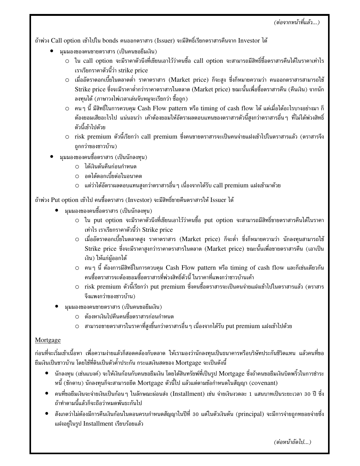(ต่อจากหน้าที่แล้ว...)

ถ้าพ่วง Call option เข้าไปใน bonds คนออกตราสาร (Issuer) จะมีสิทธิ์เรียกตราสารคืนจาก Investor ได้

- ้มมมองของคนขายตราสาร (เป็นคนขอยืมเงิน)
	- ⊙ ใน call option จะมีราคาตัวนึงที่เขียนเอาไว้ว่าคนซื้อ call option จะสามารถมีสิทธิ์ชื้อตราสารคืนได้ในราคาเท่าไร เราเรียกราคาตัวนี้ว่า strike price
	- O เมื่ออัตราดอกเบี้ยในตลาดต่ำ ราคาตราสาร (Market price) ก็จะสูง ซึ่งก็หมายความว่า คนออกตราสารสามารถใช้ Strike price ซึ่งจะมีราคาต่ำกว่าราคาตราสารในตลาด (Market price) ขณะนั้นเพื่อซื้อตราสารคืน (คืนเงิน) จากนัก ลงทุนได้ (ภาษาวงไพ่เวลาเล่นจับหมูจะเรียกว่า ซื้อถูก)
	- $\circ$  คนๆ นี้ มีสิทธิ์ในการควบคม Cash Flow pattern หรือ timing of cash flow ได้ แต่เมื่อได้อะไรบางอย่างมา ก็ ต้องยอมเสียอะไรไป แน่นอนว่า เค้าต้องยอมให้อัตราผลตอบแทนของตราสารตัวนี้สูงกว่าตราสารอื่นๆ ที่ไม่ได้พ่วงสิทธิ์ ตัวนี้เข้าไปด้วย
	- ⊙ risk premium ตัวนี้เรียกว่า call premium ซึ่งคนขายตราสารจะเป็นคนจ่ายแฝงเข้าไปในตราสารแล้ว (ตราสารจึง ถูกกว่าของชาวบ้าน)
- มุมมองของคนซื้อตราสาร (เป็นนักลงทุน)
	- 0 ได้เงินต้นคืนก่อนกำหนด
	- O อดได้ดอกเบี้ยต่อในอนาคต
	- O แต่ว่าได้อัตราผลตอบแทนสูงกว่าตราสารอื่น ๆ เนื่องจากได้รับ call premium แฝงเข้ามาด้วย

ถ้าพ่วง Put option เข้าไป คนซื้อตราสาร (Investor) จะมีสิทธิ์ขายคืนตราสารให้ Issuer ได้

- มุมมองของคนซื้อตราสาร (เป็นนักลงทุน)
	- ⊙ ใน put option จะมีราคาตัวนึงที่เขียนเอาไว้ว่าคนซื้อ put option จะสามารถมีสิทธิ์ขายตราสารคืนได้ในราคา เท่าไร เราเรียกราคาตัวนี้ว่า Strike price
	- ⊙ เมื่ออัตราดอกเบี้ยในตลาดสูง ราคาตราสาร (Market price) ก็จะต่ำ ซึ่งก็หมายความว่า นักลงทุนสามารถใช้ Strike price ซึ่งจะมีราคาสูงกว่าราคาตราสารในตลาด (Market price) ขณะนั้นเพื่อขายตราสารคืน (เอาเป็น เงิน) ให้แก่ผ้ออกได้
	- $\circ$  คนๆ นี้ ต้องการมีสิทธิ์ในการควบคุม Cash Flow pattern หรือ timing of cash flow และก็เช่นเดียวกัน คนซื้อตราสารจะต้องยอมซื้อตราสารที่พ่วงสิทธิ์ตัวนี้ ในราคาที่แพงกว่าชาวบ้านเค้า
	- ⊙ risk premium ตัวนี้เรียกว่า put premium ซึ่งคนซื้อตราสารจะเป็นคนจ่ายแฝงเข้าไปในตราสารแล้ว (ตราสาร จึงแพงกว่าของชาวบ้าน)
- ้มมมองของคนขายตราสาร (เป็นคนขอยืมเงิน)
	- ⊙ ต้องหาเงินไปคืนคนซื้อตราสารก่อนกำหนด
	- O สามารถขายตราสารในราคาที่สูงขึ้นกว่าตราสารอื่น ๆ เนื่องจากได้รับ put premium แฝงเข้าไปด้วย

#### Mortgage

ก่อนที่จะเริ่มเข้าเนื้อหา เพื่อความง่ายแล้วก็สอดคล้องกับตลาด ให้เรามองว่านักลงทุนเป็นธนาคารหรือบริษัทประกันชีวิตแทน แล้วคนที่ขอ ยืมเงินเป็นชาวบ้าน โดยใช้ที่ดินเป็นตัวค้ำประกัน กระแสเงินสดของ Mortgage จะเป็นดังนี้

- นักลงทุน (เช่นแบงค์) จะให้เงินก้อนกับคนขอยืมเงิน โดยได้สินทรัยพ์ที่เป็นรูป Mortgage ซึ่งถ้าคนขอยืมเงินบิดพริ้วในการชำระ หนี้ (ชักดาบ) นักลงทุนก็จะสามารถยึด Mortgage ตัวนี้ไป แล้วแต่ตามข้อกำหนดในสัญญา (covenant)
- คนที่ขอยืมเงินจะจ่ายเงินเป็นก้อน ๆ ในลักษณะผ่อนส่ง (Installment) เช่น จ่ายเงินงวดละ 1 แสนบาทเป็นระยะเวลา 30 ปี ซึ่ง ถ้าทำตามนี้แล้วก็จะถือว่าหมดพันธะกันไป
- สังเกตว่าไม่ต้องมีการคืนเงินก้อนในตอนครบกำหนดสัญญาในปีที่ 30 แต่ในตัวเงินต้น (principal) จะมีการจ่ายถูกทยอยจ่ายซึ่ง แฝงอยู่ในรูป Installment เรียบร้อยแล้ว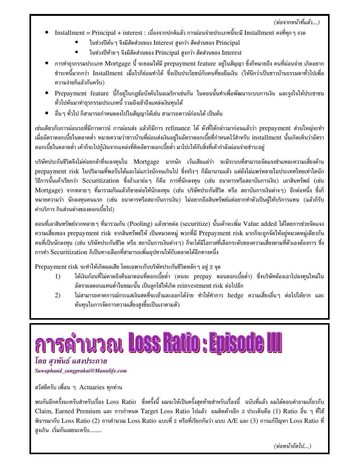(ต่อจากหน้าที่แล้ว...)

- Installment = Principal + interest : เนื่องจากปกติแล้ว การผ่อนจ่ายประเภทนี้จะมี Installment คงที่ทุก ๆ งวด
	- ในช่วงปีต้น ๆ จึงมีสัดส่วนของ Interest สูงกว่า สัดส่วนของ Principal
	- ในช่วงปีท้ายๆ จึงมีสัดส่วนของ Principal สูงกว่า สัดส่วนของ Interest
- $\bullet$  การทำธุรกรรมประเภท Mortgage นี้ จะยอมให้มี prepayment feature อย่ในสัญญา ซึ่งก็หมายถึง คนที่ผ่อนจ่าย เกิดอยาก ชำระหนี้มากกว่า Installment เมื่อไรก็ย่อมทำได้ ซึ่งเป็นประโยชน์กับคนที่ขอยืมเงิน (ให้นึกว่าเป็นชาวบ้านธรรมดาทั่วไปเพื่อ ความง่ายก็แล้วกันครับ)
- Prepayment feature นี้ก็อยู่ในกฎข้อบังคับในอเมริกาเช่นกัน ในตอนนั้นทำเพื่อพัฒนาระบบการเงิน และจูงใจให้ประชาชน ้ทั่วไปหันมาทำธุรกรรมประเภทนี้ รวมถึงเข้าถึงแหล่งเงินทุนได้
- \_ อื่น ๆ ทั่วไป ก็สามารถกำหนดลงไปในสัญญาได้เช่น สามารถดาวน์ก่อนได้ เป็นต้น

เช่นเดียวกับการผ่อนรถที่มีการดาวน์ การผ่อนส่ง แล้วก็มีการ refinance ได้ ดังที่ได้กล่าวมาก่อนแล้วว่า prepayment ส่วนใหญ่จะทำ เมื่ออัตราดอกเบี้ยในตลาดต่ำ หมายความว่าชาวบ้านที่ผ่อนส่งเงินอย่ในอัตราดอกเบี้ยที่กำหนดไว้สำหรับ installment นั้นเกิดเห็นว่าอัตรา ิดอกเบี้ยในตลาดต่ำ เค้าก็จะไปกู้เงินจากแหล่งที่คิดอัตราดอกเบี้ยต่ำ มาโปะให้กับสิ่งที่เค้ากำลังผ่อนจ่ายชำระอยู่

บริษัทประกันชีวิตจึงไม่ค่อยกล้าที่จะลงทุนใน Mortgage มากนัก เว้นเสียแต่ว่า จะมีระบบที่สามารถจัดแจงชำแหละความเสี่ยงด้าน prepayment risk ในปริมาณที่พอรับได้และไม่แกว่งนักจนเกินไป ซึ่งจริงๆ ก็มีมานานแล้ว แต่ยังไม่แพร่หลายในประเทศไทยเท่าใดนัก วิธีการนั้นเค้าเรียกว่า Securitization ซึ่งถ้าเอาย่อๆ ก็คือ การที่นักลงทุน (เช่น ธนาคารหรือสถาบันการเงิน) เอาสินทรัพย์ (เช่น Mortgage) จากหลายๆ ที่มารวมกันแล้วก็ขายต่อให้นักลงทุน (เช่น บริษัทประกันชีวิต หรือ สถาบันการเงินต่างๆ) อีกต่อหนึ่ง ซึ่งก็ หมายความว่า นักลงทุนคนแรก (เช่น ธนาคารหรือสถาบันการเงิน) ไม่อยากถือสินทรัพย์แต่อยากทำตัวเป็นผู้ให้บริการแทน (แล้วก็รับ ค่าบริการ กินส่วนต่างของดอกเบี้ยไป)

ตอนที่เอาสินทรัพย์จากหลาย ๆ ที่มารวมกัน (Pooling) แล้วขายต่อ (securitize) นั้นเค้าจะเพิ่ม Value added ได้โดยการช่วยจัดแจง ความเสี่ยงของ prepayment risk จากสินทรัพย์ให้ เป็นหมวดหมู่ พวกที่มี Prepayment risk มากก็จะถูกจัดให้อยู่หมวดหมู่เดียวกัน ้คนที่เป็นนักลงทุน (เช่น บริษัทประกันชีวิต หรือ สถาบันการเงินต่างๆ) ก็จะได้มีโอกาสที่เลือกระดับของความเสี่ยงตามที่ตัวเองต้องการ ซึ่ง การทำ Securitization ก็เป็นทางเลือกที่สามารถเพิ่มอุปทานให้กับตลาดได้อีกทางหนึ่ง

Prepayment risk จะทำให้เกิดผลเสีย โดยเฉพาะกับบริษัทประกันชีวิตหลัก ๆ อย่ 2 จด

- ได้เงินก้อนที่ไม่คาดถึงคืนมาตอนที่ดอกเบี้ยต่ำ (คนจะ prepay ตอนดอกเบี้ยต่ำ) ซึ่งบริษัทต้องเอาไปลงทุนใหม่ใน  $1)$ อัตราผลตอบแทนต่ำในขณะนั้น เป็นลกโซ่ให้เกิด reinvestment risk ต่อไปอีก
- ไม่สามารถคาดการณ์กระแสเงินสดที่จะเข้าและออกได้ง่าย ทำให้ทำการ hedge ความเสี่ยงอื่นๆ ต่อไปได้ยาก และ  $(2)$ ต้นทุนในการจัดการความเสี่ยงสูงขึ้นเป็นเงาตามตัว



Suwaphand\_sangprakai@Manulife.com

สวัสดีครับ เพื่อน ๆ Actuaries ทุกท่าน

พบกันอีกครั้งนะครับสำหรับเรื่อง Loss Ratio ซึ่งครั้งนี้ ผมจะให้เป็นครั้งสดท้ายสำหรับเรื่องนี้ ฉบับที่แล้ว ผมได้ตอบคำถามเกี่ยวกับ Claim, Earned Premium และ การกำหนด Target Loss Ratio ไปแล้ว ผมติดค้างอีก 3 ประเด็นคือ (1) Ratio อื่น ๆ ที่ใช้ พิจารณากับ Loss Ratio (2) การคำนวณ Loss Ratio แบบที่ 2 หรือที่เรียกกันว่า แบบ A/E และ (3) การแก้ปัญหา Loss Ratio ที่ สงเกิน เริ่มกันเลยนะครับ........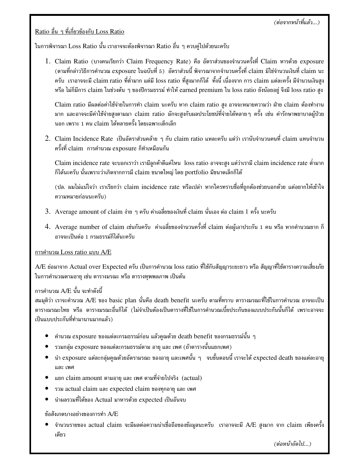<u>Ratio อื่น ๆ ที่เกี่ยวข้องกับ Loss Ratio</u>

ในการพิจารณา Loss Ratio นั้น เราอาจจะต้องพิจารณา Ratio อื่น ๆ ควบคู่ไปด้วยนะครับ

1. Claim Ratio (บางคนเรียกว่า Claim Frequency Rate) คือ อัตราส่วนของจำนวนครั้งที่ Claim หารด้วย exposure (ตามที่กล่าววิธีการคำนวณ exposure ในฉบับที่ 5) อัตราส่วนนี้ พิจารณาจากจำนวนครั้งที่ claim มิใช่จำนวนเงินที่ claim นะ ครับ เราอาจจะมี claim ratio ที่ต่ำมาก แต่มี loss ratio ที่สูงมากก็ได้ ทั้งนี้ เนื่องจาก การ claim แต่ละครั้ง มีจำนวนเงินสูง หรือ ไม่ก็มีการ claim ในช่วงต้น ๆ ของปีกรมธรรม์ ทำให้ earned premium ใน loss ratio ยังน้อยอยู่ จึงมี loss ratio สูง

 $\rm{Claim~ratio}$  มีผลต่อค่าใช้จ่ายในการทำ  $\rm{claim}$  นะครับ หาก  $\rm{claim~ratio}$  สูง อาจจะหมายความว่า ฝ่าย  $\rm{claim}$  ต้องทำงาน มาก และอาจจะมีค่าใช้จ่ายสูงตามมา claim ratio มักจะสูงกับผลประโยชน์ที่จ่ายได้หลายๆ ครั้ง เช่น ค่ารักษาพยาบาลผู้ป่วย นอก เพราะ 1 คน claim ได้หลายครั้ง โดยเฉพาะเด็กเล็ก

 $2. \,$  Claim Incidence Rate เป็นอัตราส่วนคล้าย ๆ กับ claim ratio แหละครับ แต่ว่า เรานับจำนวนคนที่ claim แทนจำนวน ครั้งที่ claim  $\,$ การคำนวณ  $\textrm{exposure}$  ก็ทำเหมือนกัน

Claim incidence rate จะบอกเราว่า เรามีลูกค้าดีแค่ไหน loss ratio อาจจะสูง แต่ว่าเรามี claim incidence rate ต่ำมาก ก็ได้นะครับ นั่นเพราะว่าเกิดจากการมี claim ขนาดใหญ่ โดย portfolio มีขนาดเล็กก็ได้

(ปล. ผมไม่แน่ใจว่า เราเรียกว่า claim incidence rate หรือเปล่า หากใครทราบชื่อที่ถูกต้องช่วยบอกด้วย แต่อยากให้เข้าใจ ความหมายก่อนนะครับ)

- 3. Average amount of claim ง่าย ๆ ครับ ค่าเฉลี่ยของเงินที่ claim นั่นเอง ต่อ claim 1 ครั้ง นะครับ
- $4. \,$  Average number of claim เช่นกันครับ ค่าเฉลี่ยของจำนวนครั้งที่ claim ต่อผู้เอาประกัน 1 คน หรือ หากคำนวณยาก ก็ ้อาจจะเป็นต่อ 1 กรมธรรม์ก็ได้นะครับ

<u>การคำนวณ Loss ratio แบบ A/E</u>

A/E ย่อมาจาก Actual over Expected ครับ เป็นการคำนวณ loss ratio ที่ใช้กับสัญญาระยะยาว หรือ สัญญาที่ใช้ตารางความเสี่ยงภัย ในการคำนวณตามอายุ เช่น ตารางมรณะ หรือ ตารางทุพพลภาพ เป็นต้น

#### การคำนวณ A/E นั้น จะทำดังนี้

สมมุติว่า เราจะคำนวณ A/E ของ basic plan นั่นคือ death benefit นะครับ ตามที่ทราบ ตารางมรณะที่ใช้ในการคำนวณ อาจจะเป็น ตารางมรณะไทย หรือ ตารางมรณะอื่นก็ได้ (ไม่จำเป็นต้องเป็นตาราที่ใช้ในการคำนวณเบี้ยประกันของแบบประกันนั้นก็ได้ เพราะอาจจะ เป็นแบบประกันที่ทำมานานมากแล้ว)

- $\bullet$  คำนวณ exposure ของแต่ละกรมธรรม์ก่อน แล้วคูณด้วย death benefit ของกรมธรรม์นั้น ๆ
- $\bullet$   $\;$  รวมกลุ่ม  $\;$ exposure ของแต่ละกรมธรรม์ตาม อายุ และ เพศ (ถ้าตารางนั้นแยกเพศ)
- $\bullet$  ) นำ exposure แต่ละกลุ่มคูณด้วยอัตรามรณะ ของอายุ และเพศนั้น ๆ จบขั้นตอนนี้ เราจะได้ expected death ของแต่ละอายุ และ เพศ
- แยก claim amount ตามอายุ และ เพศ ตามที่จ่ายไปจริง (actual)
- รวม actual claim และ expected claim ของทุกอายุ และ เพศ
- $\bullet$  นำผลรวมที่ได้ของ Actual มาหารด้วย  $\tt{expected}$  เป็นอันจบ

#### ข้อสังเกตบางอย่างของการทำ A/E

 $\bullet$  จำนวนรายของ actual claim จะมีผลต่อความน่าเชื่อถือของข้อมูลนะครับ เราอาจจะมี A/E สูงมาก จาก claim เพียงครั้ง เดียว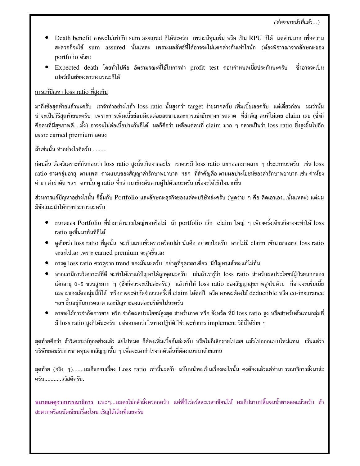- $\bullet$  Death benefit อาจจะไม่เท่ากับ sum assured ก็ได้นะครับ เพราะมีทุนเพิ่ม หรือ เป็น RPU ก็ได้ แต่ส่วนมาก เพื่อความ สะดวกก็จะใช้ sum assured นั่นแหละ เพราะผลลัพธ์ที่ได้อาจจะไม่แตกต่างกันเท่าไรนัก (ต้องพิจารณาจากลักษณะของ portfolio ด้วย)
- $\bullet$  Expected death โดยทั่วไปคือ อัตรามรณะที่ใช้ในการทำ profit test ตอนกำหนดเบี้ยประกันนะครับ ซึ่งอาจจะเป็น เปอร์เซ็นต์ของตารางมรณะก็ได้

#### <u>การแก้ปัญหา loss ratio ที่สูงเกิน</u>

มาถึงข้อสุดท้ายแล้วนะครับ เราจำทำอย่างไรถ้า loss ratio นั้นสูงกว่า target ง่ายมากครับ เพิ่มเบี้ยเลยครับ แต่เดี๋ยวก่อน ผมว่านั่น น่าจะเป็นวิธีสุดท้ายนะครับ เพราะการเพิ่มเบี้ยย่อมมีผลต่อยอดขายและการแข่งขันทางการตลาด ที่สำคัญ คนที่ไม่เคย claim เลย (ซึ่งก็ ฺ คือคนที่มีสุขภาพดี….มั้ง) อาจจะไม่ต่อเบี้ยประกันก็ได้ ผลก็คือว่า เหลือแต่คนที่ claim มาก ๆ กลายเป็นว่า loss ratio ยิ่งสูงขึ้นไปอีก เพราะ earned premium ลดลง

ถ้าเช่นนั้น ทำอย่างไรดีครับ .........

ก่อนอื่น ต้องวิเคราะห์กันก่อนว่า loss ratio สูงนั้นเกิดจากอะไร เราควรมี loss ratio แยกออกมาหลาย ๆ ประเภทนะครับ เช่น loss ratio ตามกลุ่มอายุ ตามเพศ ตามแบบของสัญญาค่ารักษาพยาบาล ฯลฯ ที่สำคัญคือ ตามผลประโยชน์ของค่ารักษาพยาบาล เช่น ค่าห้อง ค่ายา ค่าผ่าตัด ฯลฯ จากนั้น ดู ratio ที่กล่าวมาข้างต้นควบคู่ไปด้วยนะครับ เพื่อจะได้เข้าใจมากขึ้น

ส่วนการแก้ปัญหาอย่างไรนั้น ก็ขึ้นกับ Portfolio และลักษณะธุรกิจของแต่ละบริษัทล่ะครับ (พูดง่าย ๆ คือ คิดเอาเอง…นั่นแหละ) แต่ผม มีข้อแนะนำให้บางประการนะครับ

- $\bullet$  ขนาดของ Portfolio ที่นำมาคำนวณใหญ่พอหรือไม่ ถ้า portfolio เล็ก claim ใหญ่ ๆ เพียงครั้งเดียวก็อาจจะทำให้ loss ratio สูงขึ้นมาทันทีก็ได้
- $\bullet$  ดูด้วยว่า loss ratio ที่สูงนั้น จะเป็นแบบชั่วคราวหรือเปล่า นั่นคือ อย่าตกใจครับ หากไม่มี claim เข้ามามากมาย loss ratio จะลงไปเอง เพราะ earned premium จะสูงขึ้นเอง
- $\bullet$   $\,$  การดู loss ratio ควรดูจาก trend ของมันนะครับ อย่าดูที่จุดเวลาเดียว มีปัญหาแล้วจะแก้ไม่ทัน
- $\bullet$  หากเรามีการวิเคราะห์ที่ดี จะทำให้เราแก้ปัญหาได้ถูกจุดนะครับ เช่นถ้าเรารู้ว่า loss ratio สำหรับผลประโยชน์ผู้ป่วยนอกของ เด็กอายุ 0-5 ขวบสูงมาก ๆ (ซึ่งก็ควรจะเป็นล่ะครับ) แล้วทำให้ loss ratio ของสัญญาสุขภาพสูงไปด้วย ก็อาจจะเพิ่มเบี้ย เฉพาะของเด็กกลุ่มนี้ก็ได้ หรืออาจจะจำกัดจำนวนครั้งที่ claim ได้ต่อปี หรือ อาจจะต้องใช้ deductible หรือ co-insurance ำลา ขึ้นอยู่กับการตลาด และปัญหาของแต่ละบริษัทไปนะครับ
- $\bullet$  อาจจะใช้การจำกัดการขาย หรือ จำกัดผลประโยชน์สูงสุด สำหรับภาค หรือ จังหวัด ที่มี loss ratio สูง หรือสำหรับตัวแทนกลุ่มที่ มี loss ratio สูงก็ได้นะครับ แต่ขอบอกว่า ในทางปฏิบัติ ใช่ว่าจะทำการ implement วิธีนี้ได้ง่าย ๆ

สุดท้ายคือว่า ถ้าวิเคราะห์ทุกอย่างแล้ว แย่ไปหมด ก็ต้องเพิ่มเบี้ยกันล่ะครับ หรือไม่ก็เลิกขายไปเลย แล้วไปออกแบบใหม่แทน เว้นแต่ว่า บริษัทยอมรับการขาดทุนจากสัญญานั้น ๆ เพื่อจะเอากำไรจากตัวอื่นที่ต้องแนบมาด้วยแทน

สุดท้าย (จริง ๆ).......ผมก็ขอจบเรื่อง Loss ratio เท่านี้นะครับ ฉบับหน้าจะเป็นเรื่องอะไรนั้น คงต้องแล้วแต่ท่านบรรณาธิการสั่งมาล่ะ ครับ...........สวัสดีครับ.

<u>หมายเหตุจากบรรณาธิการ</u> แหะๆ...ผมคงไม่กล้าสั่งหรอกครับ แค่พี่บีเว่อร์สละเวลาเขียนให้ ผมก็ปลาบปลื้มจนน้ำตาคลอแล้วครับ ถ้า สะดวกหรือถนัดเขียนเรื่องไหน เชิญได้เต็มที่เลยครับ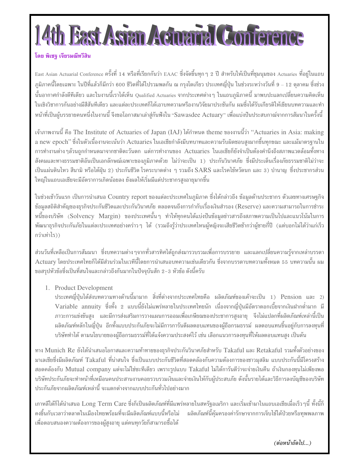# th Bast Asian Aciuana Conference

#### โดย พิเชจ เจียรมณีทวีสิน

East Asian Actuarial Conference ครั้งที่ 14 หรือที่เรียกกันว่า EAAC ซึ่งจัดขึ้นทุก ๆ 2 ปี สำหรับให้เป็นที่ชุมนุมของ Actuaries ที่อยู่ในแถบ ้ภูมิภาคนี้โดยเฉพาะ ในปีที่แล้วก็มีกว่า 600 ชีวิตที่ได้ไปรวมพลกัน ณ กรุงโตเกียว ประเทศญี่ปุ่น ในช่วงระหว่างวันที่ 9 – 12 ตุลาคม ซึ่งช่วง นั้นอากาศกำลังดีทีเดียว และในงานนี้เราได้เห็น Qualified Actuaries จากประเทศต่างๆ ในแถบภูมิภาคนี้ มาพบปะแลกเปลี่ยนความคิดเห็น ในเชิงวิชาการกันอย่างมีสีสันทีเดียว และแต่ละประเทศก็ได้เอาบทความหรืองานวิจัยมาประชันกัน ผมซึ่งได้รับเกียรติให้เขียนบทความและทำ หน้าที่เป็นผู้บรรยายคนหนึ่งในงานนี้ จึงขอโอกาสมาเล่าสู่กันฟังใน "Sawasdee Actuary" เพื่อแบ่งปันประสบกาณ์จากการสัมนาในครั้งนี้

เจ้าภาพงานนี้ คือ The Institute of Actuaries of Japan (IAJ) ได้กำหนด theme ของงานนี้ว่า "Actuaries in Asia: making a new epoch" ซึ่งในตัวเนื้องานจะเน้นว่า Actuaries ในเอเชียกำลังมีบทบาทและความรับผิดชอบสูงมากขึ้นทุกขณะ และแม้มาตรฐานใน การทำงานต่าง ๆล้วนถูกกำหนดมาจากชาติตะวันตก แต่การทำงานของ Actuaries ในเอเชียก็ยังจำเป็นต้องคำนึงถึงสภาพแวดล้อมทั้งทาง ้สังคมและทางธรรมชาติอันเป็นเอกลักษณ์เฉพาะของภูมิภาคด้วย ไม่ว่าจะเป็น 1) ประกันวินาศภัย ซึ่งมีประเด็นเรื่องภัยธรรมชาติไม่ว่าจะ เป็นแผ่นดินไหว สึนามิ หรือไต้ฝุ่น 2) ประกันชีวิต โรคระบาดต่าง ๆ รวมถึง SARS และโรคไข้หวัดนก และ 3) บำนาญ ซึ่งประชากรส่วน ใหญ่ในแถบเอเชียจะมีอัตราการเกิดน้อยลง ยังผลให้เริ่มมีแต่ประชากรสูงอายุมากขึ้น

ในช่วงเช้าวันแรก เป็นการนำเสนอ Country report ของแต่ละประเทศในภูมิภาค ซึ่งได้กล่าวถึง ข้อมูลด้านประชากร ตัวเลขทางเศรษฐกิจ ข้อมูลสถิติสำคัญของธุรกิจประกันชีวิตและประกันวินาศภัย ตลอดจนถึงการกำกับเรื่องเงินสำรอง (Reserve) และความสามารถในการชำระ หนี้ของบริษัท (Solvency Margin) ของประเทศนั้นๆ ทำให้ทุกคนได้แบ่งปันข้อมูลข่าวสารถึงสภาพความเป็นไปและแนวโน้มในการ พัฒนาธุรกิจประกันภัยในแต่ละประเทศอย่างคร่าว ๆ ได้ (รวมถึงรู้ว่าประเทศไหนผู้หญิงจะเสียชีวิตช้ากว่าผู้ชายกี่ปี (แต่บอกไม่ได้ว่าแก่เร็ว กว่าเท่าไร))

้ส่วนวันที่เหลือเป็นการสัมมนา ซึ่งบทความต่างๆจากทั่วสารทิศได้ถูกส่งมารวบรวมเพื่อการบรรยาย และแลกเปลี่ยนความรู้จากเหล่าบรรดา Actuary โดยประเทศไทยก็ได้มีส่วนร่วมในเวทีนี้โดยการนำเสนอบทความเช่นเดียวกัน ซึ่งจากบรรดาบทความทั้งหมด 55 บทความนั้น ผม ขอสรุปหัวข้อซึ่งเป็นที่สนใจและกล่าวถึงกันมากในปัจจุบันสัก 2-3 หัวข้อ ดังนี้ครับ

1. Product Development

ประเทศญี่ปุ่นได้ส่งบทความทางด้านนี้มามาก สิ่งที่ต่างจากประเทศไทยคือ ผลิตภัณฑ์ของเค้าจะเป็น 1) Pension และ 2) Variable annuity ซึ่งทั้ง 2 แบบนี้ยังไม่แพร่หลายในประเทศไทยนัก เนื่องจากญี่ปุ่นมีอัตราดอกเบี้ยจากเงินฝากต่ำมาก มี ่ ภาวะการแข่งขันสูง และมีการส่งเสริมการวางแผนการออมเพื่อเกษียณของประชาการสูงอายุ จึงไม่แปลกที่ผลิตภัณฑ์เหล่านี้เป็น ้ผลิตภัณฑ์หลักในญี่ปุ่น อีกทั้งแบบประกันภัยจะไม่มีการการันตีผลตอบแทนของผู้ถือกรมธรรม์ ผลตอบแทนขึ้นอยู่กับการลงทุนที่ ้บริษัททำได้ ตามนโยบายของผู้ถือกรมธรรม์ที่ได้แจ้งความประสงค์ไว้ เช่น เลือกแนวการลงทุนที่ให้ผลตอบแทนสูง เป็นต้น

ทาง Munich Re ยังได้นำเสนอโอกาสและความท้าทายของธุรกิจประกันวินาศภัยสำหรับ Takaful และ Retakaful รวมทั้งตัวอย่างของ มาเลเซียซึ่งมีผลิตภัณฑ์ Takaful ที่น่าสนใจ ซึ่งเป็นแบบประกันชีวิตที่สอดคล้องกับความต้องการของชาวมุสลิม แบบประกันนี้มีโครงสร้าง สอดคล้องกับ Mutual company แต่จะไม่ใช่ชะทีเดียว เพราะรูปแบบ Takaful ไม่ได้การันตีว่าจะจ่ายเงินคืน ถ้าเงินกองทุนไม่เพียงพอ บริษัทประกันภัยจะทำหน้าที่เหมือนคนประสานงานคอยรวบรวมเงินและจ่ายเงินให้กับผู้ประสบภัย ดังนั้นรายได้และวิธีการลงบัญชีของบริษัท ประกันภัยจากผลิตภัณฑ์เหล่านี้ จะแตกต่างจากแบบประกันทั่วไปอย่างมาก

เกาหลีใต้ก็ได้นำเสนอ Long Term Care ซึ่งก็เป็นผลิตภัณฑ์ที่มีแพร่หลายในสหรัฐอเมริกา และเริ่มเข้ามาในแถบเอเชียเมื่อเร็ว ๆนี้ ทั้งนี้ก็ ้คงขึ้นกับเวลาว่าตลาดในเมืองไทยพร้อมที่จะมีผลิตภัณฑ์แบบนี้หรือไม่ ผลิตภัณฑ์นี้คุ้มครองค่ารักษาจากการเจ็บไข้ได้ป่วยหรือทุพพลภาพ เพื่อตอบสนองความต้องการของผู้สูงอายุ แต่คนทุกวัยก็สามารถซื้อได้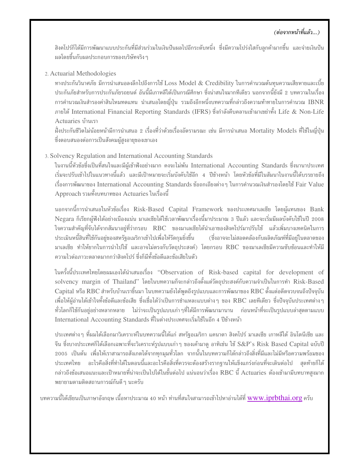#### (ต่อจากหน้าที่แล้ว...)

้สิงคโปร์ก็ได้มีการพัฒนาแบบประกันที่มีส่วนร่วมในเงินปันผลไปอีกระดับหนึ่ง ซึ่งมีความโปร่งใสกับลูกค้ามากขึ้น และจ่ายเงินปัน ้ผลโดยขึ้นกับผลประกอบการของบริษัทจริง ๆ

2. Actuarial Methodologies

ทางประกันวินาศภัย มีการนำเสนอลงลึกไปถึงการใช้ Loss Model & Credibility ในการคำนวณต้นทุนความเสียหายและเบี้ย ประกันภัยสำหรับการประกันภัยรถยนต์ อันนี้มีเกาหลีใต้เป็นกรณีศึกษา ซึ่งน่าสนใจมากทีเดียว นอกจากนี้ยังมี 2 บทความในเรื่อง การคำนวณเงินสำรองค่าสินไหมทดแทน นำเสนอโดยญี่ปุ่น รวมถึงอีกหนึ่งบทความที่กล่าวถึงความท้าทายในการคำนวณ IBNR ภายใต้ International Financial Reporting Standards (IFRS) ซึ่งกำลังคืบคลานเข้ามาเขย่าทั้ง Life & Non-Life Actuaries บ้านเรา

ฝั่งประกันชีวิตไม่น้อยหน้ามีการนำเสนอ 2 เรื่องที่ว่าด้วยเรื่องอัตรามรณะ เช่น มีการนำเสนอ Mortality Models ที่ใช้ในญี่ปุ่น ซึ่งตอบสนองต่อการเป็นสังคมผู้สูงอายุของเขาเอง

3. Solvency Regulation and International Accounting Standards

ในงานนี้หัวข้อซึ่งเป็นที่สนใจและมีผู้เข้าฟังอย่างมาก คงจะไม่พ้น International Accounting Standards ซึ่งนานาประเทศ เริ่มจะปรับเข้าไปในแนวทางนี้แล้ว และมีเป้าหมายจะเริ่มบังคับใช้อีก 4 ปีข้างหน้า โดยหัวข้อที่มีในสัมนาในงานนี้ได้บรรยายถึง เรื่องการพัฒนาของ International Accounting Standards ข้อถกเถียงต่าง ๆ ในการคำนวณเงินสำรองโดยใช้ Fair Value Approach รวมทั้งบทบาทของ Actuaries ในเรื่องนี้

นอกจากนี้การนำเสนอในหัวข้อเรื่อง Risk-Based Capital Framework ของประเทศมาเลเซีย โดยผู้แทนของ Bank Negara ก็เรียกผู้ฟังได้อย่างเนืองแน่น มาเลเซียได้ใช้เวลาพัฒนาเรื่องนี้มาประมาณ 3 ปีแล้ว และจะเริ่มมีผลบังคับใช้ในปี 2008 ใจความสำคัญที่จับได้จากสัมนาอยู่ที่ว่ากรอบ RBC ของมาเลเซียได้นำเอาของสิงคโปร์มาปรับใช้ แล้วเพิ่มบางเทคนิคในการ ประเมินหนี้สินที่ใช้กันอยู่ของสหรัฐอเมริกาเข้าไปเพื่อให้รัดกุมยิ่งขึ้น (ซึ่งอาจจะไม่สอดคล้องกับผลิตภัณฑ์ที่มีอย่ในตลาดของ มาเลเซีย ทำให้ยากในการนำไปใช้ และอาจไม่ตรงกับวัตถุประสงค์) โดยกรอบ RBC ของมาเลเซียมีความซับซ้อนและทำให้มี ้ความไวต่อภาวะตลาดมากกว่าสิงคโปร์ ซึ่งก็มีทั้งข้อดีและข้อเสียในตัว

ในครั้งนี้ประเทศไทยโดยผมเองได้นำเสนอเรื่อง "Observation of Risk-based capital for development of solvency margin of Thailand" โดยในบทความก็จะกล่าวถึงตั้งแต่วัตถุประสงค์กับความจำเป็นในการทำ Risk-Based Capital หรือ RBC สำหรับบ้านเราขึ้นมา ในบทความยังได้พูดถึงรูปแบบและการพัฒนาของ RBC ตั้งแต่อดีตจวบจนถึงปัจจุบัน เพื่อให้ผู้อ่านได้เข้าใจทั้งข้อดีและข้อเสีย ซึ่งเชื่อได้ว่าเป็นการชำแหละแบบต่าง ๆ ของ RBC เลยทีเดียว ซึ่งปัจจุบันประเทศต่าง ๆ ทั่วโลกก็ใช้กันอยู่อย่างหลากหลาย ไม่ว่าจะเป็นรูปแบบเก่าๆที่ได้มีการพัฒนามานาน ก่อนหน้าที่จะเป็นรูปแบบล่าสุดตามแบบ International Accounting Standards ที่ในต่างประเทศจะเริ่มใช้ในอีก 4 ปีข้างหน้า

ี ประเทศต่าง ๆ ที่ผมได้เลือกมาวิเคราะห์ในบทความนี้ได้แก่ สหรัฐอเมริกา แคนาดา สิงคโปร์ มาเลเซีย เกาหลีใต้ อินโดนีเซีย และ จีน ซึ่งบางประเทศก็ได้เลือกเฉพาะที่จะวิเคราะห์รูปแบบเก่า ๆ ของเค้ามาดู อาทิเช่น ใช้ S&P's Risk Based Capital ฉบับปี 2005 เป็นต้น เพื่อให้เราสามารถสังเกตได้จากทุกมุมทั่วโลก จากนั้นในบทความก็ได้กล่าวถึงสิ่งที่มีและไม่มีหรือความพร้อมของ ี ประเทศไทย อะไรคือสิ่งที่ทำได้ในตอนนี้และอะไรคือสิ่งที่ควรจะต้องสร้างรากฐานให้แข็งแกร่งก่อนที่จะเดินต่อไป สุดท้ายก็ได้ กล่าวถึงข้อเสนอแนะและเป้าหมายที่น่าจะเป็นไปได้ในขั้นต่อไป แน่นอนว่าเรื่อง RBC นี้ Actuaries ต้องเข้ามามีบทบาทสงมาก พยายามตามติดสถานการณ์กันดี ๆ นะครับ

ึบทความนี้ได้เขียนเป็นภาษาอังกฤษ เนื้อหาประมาณ 40 หน้า ท่านที่สนใจสามารถเข้าไปหาอ่านได้ที่ www.iprbthai.org ครับ